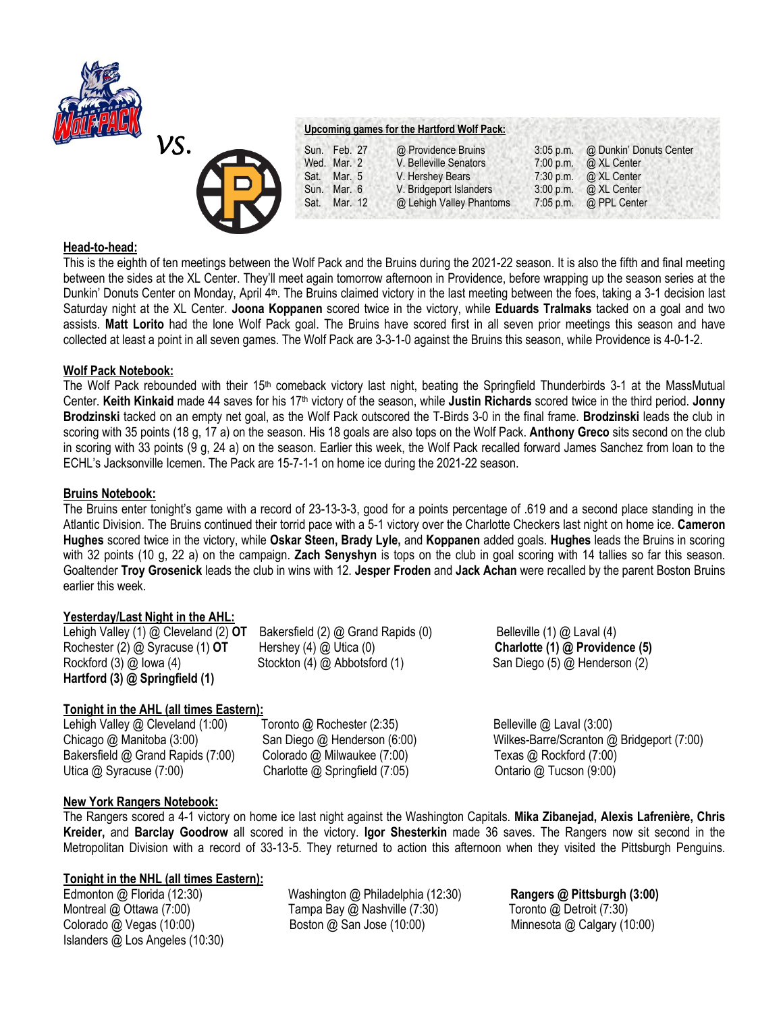



## **Head-to-head:**

This is the eighth of ten meetings between the Wolf Pack and the Bruins during the 2021-22 season. It is also the fifth and final meeting between the sides at the XL Center. They'll meet again tomorrow afternoon in Providence, before wrapping up the season series at the Dunkin' Donuts Center on Monday, April 4<sup>th</sup>. The Bruins claimed victory in the last meeting between the foes, taking a 3-1 decision last Saturday night at the XL Center. **Joona Koppanen** scored twice in the victory, while **Eduards Tralmaks** tacked on a goal and two assists. **Matt Lorito** had the lone Wolf Pack goal. The Bruins have scored first in all seven prior meetings this season and have collected at least a point in all seven games. The Wolf Pack are 3-3-1-0 against the Bruins this season, while Providence is 4-0-1-2.

## **Wolf Pack Notebook:**

The Wolf Pack rebounded with their 15<sup>th</sup> comeback victory last night, beating the Springfield Thunderbirds 3-1 at the MassMutual Center. **Keith Kinkaid** made 44 saves for his 17th victory of the season, while **Justin Richards** scored twice in the third period. **Jonny Brodzinski** tacked on an empty net goal, as the Wolf Pack outscored the T-Birds 3-0 in the final frame. **Brodzinski** leads the club in scoring with 35 points (18 g, 17 a) on the season. His 18 goals are also tops on the Wolf Pack. **Anthony Greco** sits second on the club in scoring with 33 points (9 g, 24 a) on the season. Earlier this week, the Wolf Pack recalled forward James Sanchez from loan to the ECHL's Jacksonville Icemen. The Pack are 15-7-1-1 on home ice during the 2021-22 season.

## **Bruins Notebook:**

The Bruins enter tonight's game with a record of 23-13-3-3, good for a points percentage of .619 and a second place standing in the Atlantic Division. The Bruins continued their torrid pace with a 5-1 victory over the Charlotte Checkers last night on home ice. **Cameron Hughes** scored twice in the victory, while **Oskar Steen, Brady Lyle,** and **Koppanen** added goals. **Hughes** leads the Bruins in scoring with 32 points (10 g, 22 a) on the campaign. **Zach Senyshyn** is tops on the club in goal scoring with 14 tallies so far this season. Goaltender **Troy Grosenick** leads the club in wins with 12. **Jesper Froden** and **Jack Achan** were recalled by the parent Boston Bruins earlier this week.

## **Yesterday/Last Night in the AHL:**

Lehigh Valley (1) @ Cleveland (2) **OT** Bakersfield (2) @ Grand Rapids (0) Belleville (1) @ Laval (4) Rochester (2) @ Syracuse (1) **OT** Hershey (4) @ Utica (0) **Charlotte (1) @ Providence (5)** Rockford (3) @ Iowa (4) Stockton (4) @ Abbotsford (1) San Diego (5) @ Henderson (2) **Hartford (3) @ Springfield (1)**

## **Tonight in the AHL (all times Eastern):**

Lehigh Valley @ Cleveland (1:00) Toronto @ Rochester (2:35) Belleville @ Laval (3:00) Chicago @ Manitoba (3:00) San Diego @ Henderson (6:00) Wilkes-Barre/Scranton @ Bridgeport (7:00) Bakersfield @ Grand Rapids (7:00) Colorado @ Milwaukee (7:00) Texas @ Rockford (7:00) Utica @ Syracuse (7:00) Charlotte @ Springfield (7:05) Charlotte (7:05 Ontario @ Tucson (9:00)

# **New York Rangers Notebook:**

The Rangers scored a 4-1 victory on home ice last night against the Washington Capitals. **Mika Zibanejad, Alexis Lafrenière, Chris Kreider,** and **Barclay Goodrow** all scored in the victory. **Igor Shesterkin** made 36 saves. The Rangers now sit second in the Metropolitan Division with a record of 33-13-5. They returned to action this afternoon when they visited the Pittsburgh Penguins.

## **Tonight in the NHL (all times Eastern):**

Islanders @ Los Angeles (10:30)

Edmonton @ Florida (12:30) Washington @ Philadelphia (12:30) **Rangers @ Pittsburgh (3:00)** Montreal @ Ottawa (7:00) Tampa Bay @ Nashville (7:30) Toronto @ Detroit (7:30) Colorado @ Vegas (10:00) Boston @ San Jose (10:00) Minnesota @ Calgary (10:00)